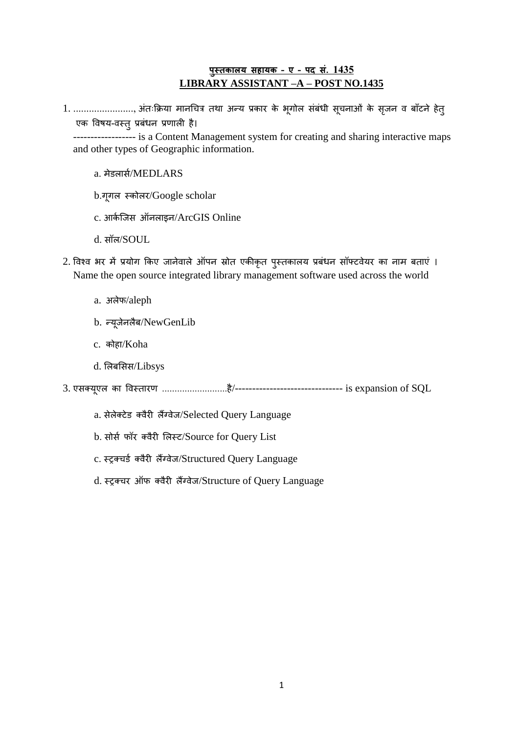## **पुस्तकालय सहायक – ए – पद सं. 1435 LIBRARY ASSISTANT –A – POST NO.1435**

1. ......................, अंतःक्रिया मानचित्र तथा अन्य प्रकार के भूगोल संबंधी सूचनाओं के सृजन व बाँटने हेत् एक विषय-वस्त् प्रबंधन प्रणाली है। ------------------ is a Content Management system for creating and sharing interactive maps and other types of Geographic information.

## a. मेडलार्स/MEDLARS

- b.गूगल स्कोलर/Google scholar
- c. आर्कजिस ऑनलाइन/ArcGIS Online
- d. सॉल/SOUL
- 2. विश्व भर में प्रयोग किए जानेवाले ऑपन स्रोत एकीकृत पुस्तकालय प्रबंधन सॉफ्टवेयर का नाम बताएं । Name the open source integrated library management software used across the world
	- a. अलेफ/aleph
	- b. न्यूजेनलैब/NewGenLib
	- c. कोहा/Koha
	- d. ललबलसस/Libsys

3. एसक्यूएल का ववस्तारण ..........................है/------------------------------- is expansion of SQL

- a. सेलेक्टेड क्वैरी लैंग्वेज/Selected Query Language
- b. सोर्स फॉर क्वैरी लिस्ट/Source for Query List
- c. स्ट्रक्चर्ड क्वैरी लैंग्वेज/Structured Query Language
- d. स्टूक्चर ऑफ क्वैरी लैंग्वेज/Structure of Query Language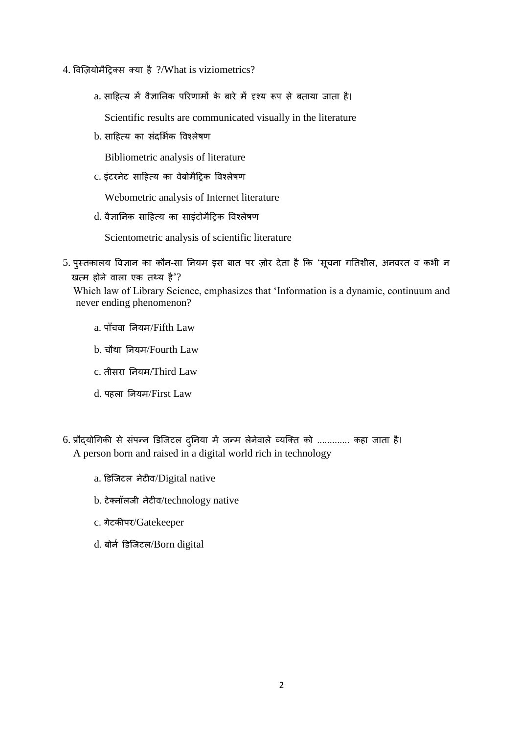- 4. ववज़ियोमैट्ररक्स क्या है ?/What is viziometrics?
	- a. साट्रहत्य में वैज्ञाननक पररणामों के बारे में दृश्य रूप से बताया जाता है।

Scientific results are communicated visually in the literature

b. साहित्य का संदर्भिक विश्लेषण

Bibliometric analysis of literature

c. इंटरनेट साट्रहत्य का वेबोमैट्ररक ववश्लेषण

Webometric analysis of Internet literature

d. वैज्ञाननक साट्रहत्य का साइंटोमैट्ररक ववश्लेषण

Scientometric analysis of scientific literature

5. पुस्तकालय विज्ञान का कौन-सा नियम इस बात पर ज़ोर देता है कि 'सूचना गतिशील, अनवरत व कभी न खत्म होने वाला एक तथ्य है'?

 Which law of Library Science, emphasizes that 'Information is a dynamic, continuum and never ending phenomenon?

- a. पाँचवा नियम/Fifth Law
- b. िौथा ननयम/Fourth Law
- c. तीसरा ननयम/Third Law
- d. पहला ननयम/First Law
- 6. प्रौद्योगिकी से संपन्न डिजिटल दुनिया में जन्म लेनेवाले व्यक्ति को ............. कहा जाता है। A person born and raised in a digital world rich in technology
	- a. डडजजटल नेटीव/Digital native
	- b. टेक्नॉलजी नेटीव/technology native
	- c. गेटकीपर/Gatekeeper
	- d. बोर्न डिजिटल/Born digital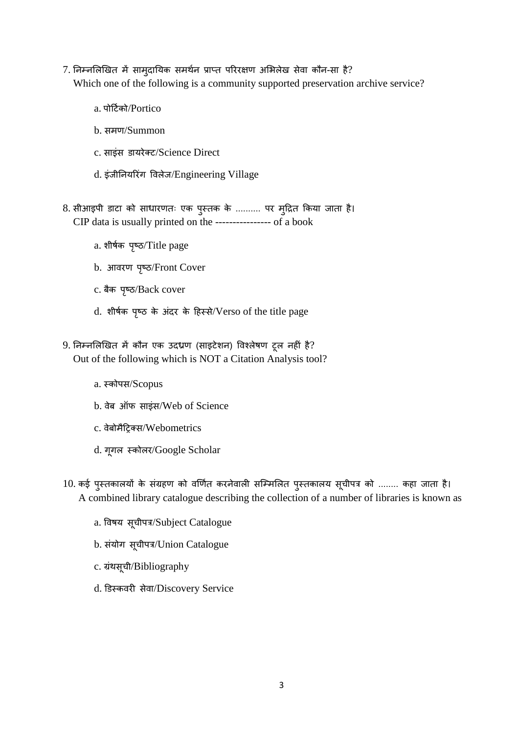- 7. निम्नलिखित में सामुदायिक समर्थन प्राप्त परिरक्षण अभिलेख सेवा कौन-सा है? Which one of the following is a community supported preservation archive service?
	- a. पोर्टिको/Portico
	- b. समण/Summon
	- c. साइंस डायरेक्ट/Science Direct
	- d. इंजीननयररंग ववलेज/Engineering Village
- 8. सीआइपी डाटा को साधारणतः एक पुस्तक के .......... पर मुट्रित क्रकया जाता है। CIP data is usually printed on the ---------------- of a book
	- a. शीर्षक पृष्ठ/Title page
	- b. आवरण पृष्ठ/Front Cover
	- c. बैक पृष्ठ/Back cover
	- d. शीर्षक पृष्ठ के अंदर के हिस्से/Verso of the title page
- 9. ननम्नललखखत में कौन एक उदध्रण (साइटेशन) ववश्लेषण टूल नहीं है? Out of the following which is NOT a Citation Analysis tool?
	- a. स्कोपस/Scopus
	- b. वेब ऑफ साइंस/Web of Science
	- c. वेबोमैट्ररक्स/Webometrics
	- d. गूगल स्कोलर/Google Scholar
- 10. कई पुस्तकालयों के संग्रहण को वर्णित करनेवाली सम्मिलित पुस्तकालय सूचीपत्र को ........ कहा जाता है। A combined library catalogue describing the collection of a number of libraries is known as
	- a. विषय सूचीपत्र/Subject Catalogue
	- b. संयोग सूचीपत्र/Union Catalogue
	- c. ग्रंथसूची/Bibliography
	- d. डडस्कवरी सेवा/Discovery Service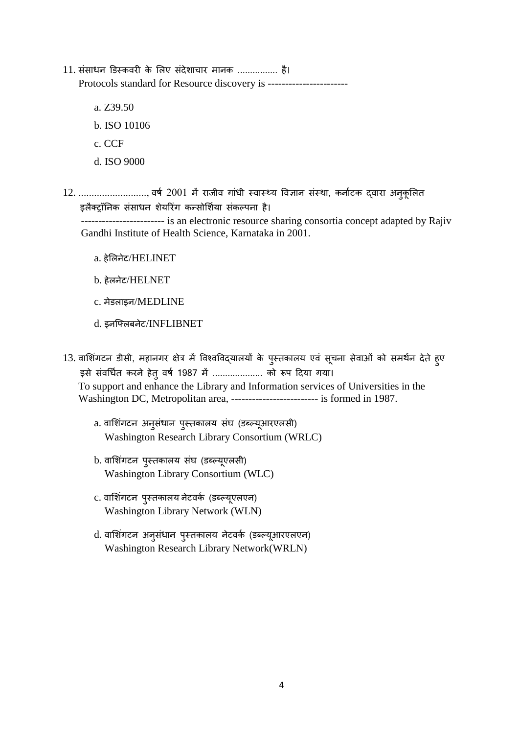- 11. संसाधन डिस्कवरी के लिए संदेशाचार मानक ................ है। Protocols standard for Resource discovery is ----------------------
	- a. Z39.50
	- b. ISO 10106
	- c. CCF
	- d. ISO 9000
- 12. .........................., वर्ष 2001 में राजीव गांधी स्वास्थ्य विज्ञान संस्था, कर्नाटक द्वारा अनुकूलित इलैक्ट्रॉनिक संसाधन शेयरिंग कन्सोर्शिया संकल्पना है।

 ------------------------ is an electronic resource sharing consortia concept adapted by Rajiv Gandhi Institute of Health Science, Karnataka in 2001.

- a. हेललनेट/HELINET
- b. हेलनेट/HELNET
- c. मेडलाइन/MEDLINE
- d. इनजफ्लबनेट/INFLIBNET
- 13. वाशिंगटन डीसी, महानगर क्षेत्र में विश्वविद्यालयों के पुस्तकालय एवं सूचना सेवाओं को समर्थन देते हुए इसे संवर्धित करने हेतु वर्ष 1987 में ..................... को रूप दिया गया। To support and enhance the Library and Information services of Universities in the Washington DC, Metropolitan area, ------------------------- is formed in 1987.
	- a. वाशिंगटन अनुसंधान पुस्तकालय संघ (डब्ल्यूआरएलसी) Washington Research Library Consortium (WRLC)
	- b. वाशिंगटन पुस्तकालय संघ (डब्ल्यूएलसी) Washington Library Consortium (WLC)
	- c. वाशिंगटन पुस्तकालय नेटवर्क (डब्ल्यूएलएन) Washington Library Network (WLN)
	- d. वाशिंगटन अनुसंधान पुस्तकालय नेटवर्क (डब्ल्यूआरएलएन) Washington Research Library Network(WRLN)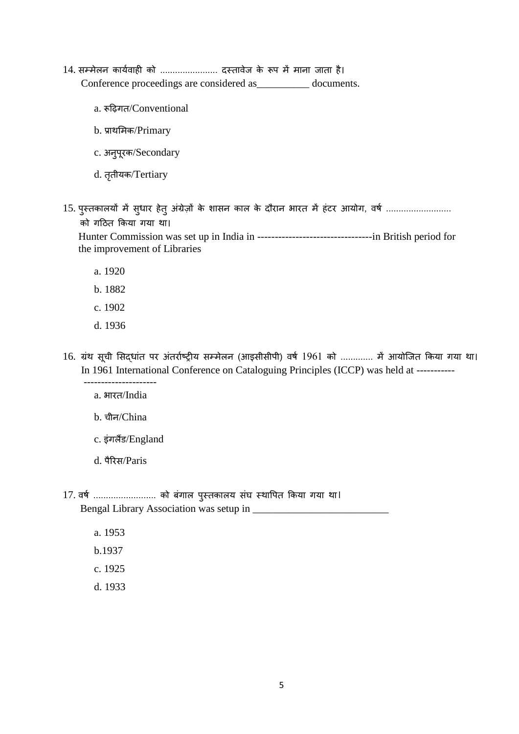- 14. सम्मेलन कार्यवाही को ........................ दस्तावेज के रूप में माना जाता है। Conference proceedings are considered as\_\_\_\_\_\_\_\_\_\_ documents.
	- a. रूट्ऱिगत/Conventional
	- b. प्राथलमक/Primary
	- c. अनुपूरक/Secondary
	- d. तृतीयक/Tertiary
- 15. पुस्तकालयों में सुधार हेतु अंग्रेज़ों के शासन काल के दौरान भारत में हंटर आयोग, वर्ष ....................... को गट्रठत क्रकया गया था।

 Hunter Commission was set up in India in ---------------------------------in British period for the improvement of Libraries

- a. 1920
- b. 1882
- c. 1902
- d. 1936
- 16. ग्रंथ सूची सिद्धांत पर अंतर्राष्ट्रीय सम्मेलन (आइसीसीपी) वर्ष 1961 को ............. में आयोजित किया गया था। In 1961 International Conference on Cataloguing Principles (ICCP) was held at -----------
- -------------------- a. भारत/India
	- b. चीन/China
	- c. इंगलैंड/England
	- d. पैररस/Paris
- 17. वर्ष ............................ को बंगाल पुस्तकालय संघ स्थापित किया गया था। Bengal Library Association was setup in \_\_\_\_\_\_\_\_\_\_\_\_\_\_\_\_\_\_\_\_\_\_\_\_\_\_
	- a. 1953
	- b.1937
	- c. 1925
	- d. 1933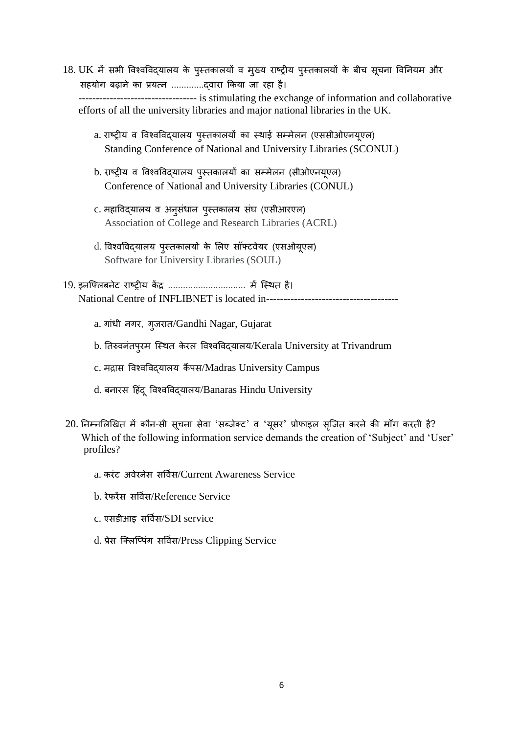- 18. UK में सभी विश्वविद्यालय के पुस्तकालयों व मुख्य राष्ट्रीय पुस्तकालयों के बीच सूचना विनियम और सहयोग ब़िाने का प्रयत्न .............द्वारा क्रकया जा रहा है। ---------------------------------- is stimulating the exchange of information and collaborative efforts of all the university libraries and major national libraries in the UK.
	- a. राष्रीय व ववश्वववद्यालय पुस्तकालयों का स्थाई सम्मेलन (एससीओएनयूएल) Standing Conference of National and University Libraries (SCONUL)
	- b. राष्रीय व ववश्वववद्यालय पुस्तकालयों का सम्मेलन (सीओएनयूएल) Conference of National and University Libraries (CONUL)
	- c. महाववद्यालय व अनुसंधान पुस्तकालय संघ (एसीआरएल) Association of College and Research Libraries (ACRL)
	- d. ववश्वववद्यालय पुस्तकालयों के ललए सॉफ्टवेयर (एसओयूएल) Software for University Libraries (SOUL)
- 19. इनजफ्लबनेट राष्रीय कें ि ............................... में जस्थत है। National Centre of INFLIBNET is located in-------------------------------------
	- a. गांधी नगर, गुजरात/Gandhi Nagar, Gujarat
	- b. नतरुवनंतपुरम जस्थत केरल ववश्वववद्यालय/Kerala University at Trivandrum
	- c. मद्रास विश्वविदयालय कैंपस/Madras University Campus
	- d. बनारस ट्रहदं ूववश्वववद्यालय/Banaras Hindu University
- $20$ . निम्नलिखित में कौन-सी सूचना सेवा 'सब्जेक्ट' व 'यूसर' प्रोफाइल सृजित करने की माँग करती है? Which of the following information service demands the creation of 'Subject' and 'User' profiles?
	- a. करंट अवेरनेस सर्विस/Current Awareness Service
	- b. रेफरेंस सर्विस/Reference Service
	- c. एसडीआइ सर्विस/SDI service
	- d. प्रेस क्लिप्पिंग सर्विस/Press Clipping Service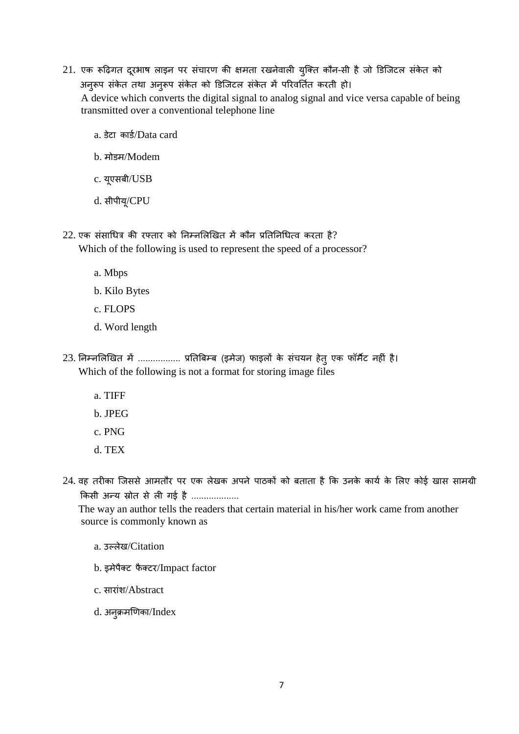- 21. एक रूढ़िगत दूरभाष लाइन पर संचारण की क्षमता रखनेवाली युक्ति कौन-सी है जो डिजिटल संकेत को अनुरूप संकेत तथा अनुरूप संकेत को डिजिटल संकेत में परिवर्तित करती हो। A device which converts the digital signal to analog signal and vice versa capable of being transmitted over a conventional telephone line
	- a. डेटा कार्ड/Data card
	- b. मोडम/Modem
	- c. यूएसबी/USB
	- d. सीपीयू/CPU
- $22$ . एक संसाधित्र की रफ्तार को निम्नलिखित में कौन प्रतिनिधित्व करता है? Which of the following is used to represent the speed of a processor?
	- a. Mbps
	- b. Kilo Bytes
	- c. FLOPS
	- d. Word length
- 23. निम्नलिखित में ................. प्रतिबिम्ब (इमेज) फाइलों के संचयन हेतु एक फॉर्मैट नहीं है। Which of the following is not a format for storing image files
	- a. TIFF
	- b. JPEG
	- c. PNG
	- d. TEX
- 24. वह तरीका जिससे आमतौर पर एक लेखक अपने पाठकों को बताता है कि उनके कार्य के लिए कोई खास सामग्री किसी अन्य स्रोत से ली गई है ...................

 The way an author tells the readers that certain material in his/her work came from another source is commonly known as

- a. उल्लेख/Citation
- b. इमेपैक्ट फैक्टर/Impact factor
- c. सारांश/Abstract
- d. अनुक्रमणिका/Index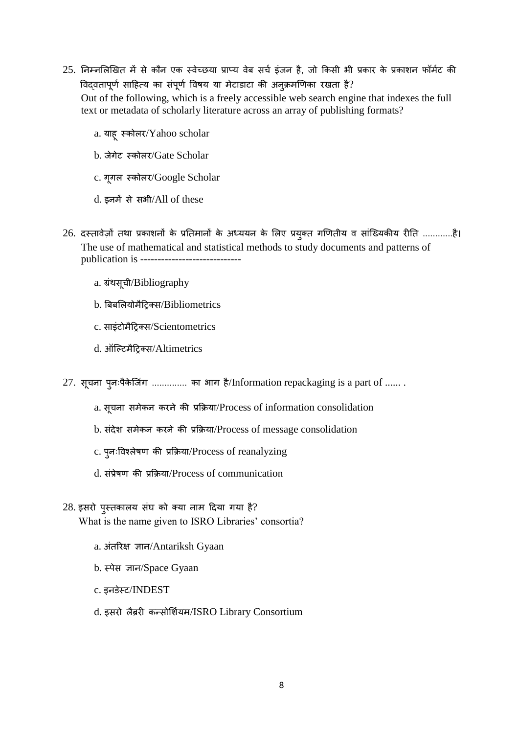- $25.$  निम्नलिखित में से कौन एक स्वेच्छया प्राप्य वेब सर्च इंजन है, जो किसी भी प्रकार के प्रकाशन फॉर्मट की विदवतापूर्ण साहित्य का संपूर्ण विषय या मेटाडाटा की अनुक्रमणिका रखता है? Out of the following, which is a freely accessible web search engine that indexes the full text or metadata of scholarly literature across an array of publishing formats?
	- a. याह् स्कोलर/Yahoo scholar
	- b. जेगेट स्कोलर/Gate Scholar
	- c. गूगल स्कोलर/Google Scholar
	- d. इनमें से सभी/All of these
- 26. दस्तावेज़ों तथा प्रकाशनों के प्रतिमानों के अध्ययन के लिए प्रयुक्त गणितीय व सांख्यिकीय रीति ............है। The use of mathematical and statistical methods to study documents and patterns of publication is ----------------------------
	- a. ग्रंथसूची/Bibliography
	- b. बबबललयोमैट्ररक्स/Bibliometrics
	- c. साइंटोमैट्ररक्स/Scientometrics
	- d. ऑजल्टमैट्ररक्स/Altimetrics
- 27. सूचना पुनःपैकेजिंग .............. का भाग है/Information repackaging is a part of .......
	- a. सूिना समेकन करने की प्रक्रिया/Process of information consolidation
	- b. संदेश समेकन करने की प्रक्रिया/Process of message consolidation
	- c. पुनःववश्लेषण की प्रक्रिया/Process of reanalyzing
	- d. संप्रेषण की प्रक्रिया/Process of communication
- 28. इसरो पुस्तकालय संघ को क्या नाम ट्रदया गया है? What is the name given to ISRO Libraries' consortia?
	- a. अंतररक्ष ज्ञान/Antariksh Gyaan
	- b. स्पेस ज्ञान/Space Gyaan
	- c. इनडेस्ट/INDEST
	- d. इसरो लैब्ररी कन्सोर्शियम/ISRO Library Consortium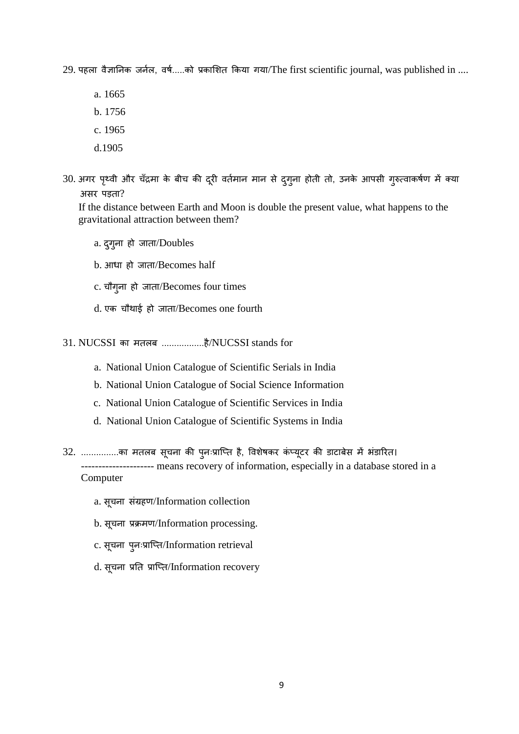$29$ . पहला वैज्ञानिक जर्नल, वर्ष.....को प्रकाशित किया गया/The first scientific journal, was published in ....

a. 1665

- b. 1756
- c. 1965
- d.1905
- 30. अगर पृथ्वी और चँद्रमा के बीच की दूरी वर्तमान मान से दुगुना होती तो, उनके आपसी गुरुत्वाकर्षण में क्या असर पड़ता?

 If the distance between Earth and Moon is double the present value, what happens to the gravitational attraction between them?

- a. दुग्ना हो जाता/Doubles
- b. आधा हो जाता/Becomes half
- c. िौगुना हो जाता/Becomes four times
- d. एक िौथाई हो जाता/Becomes one fourth
- 31. NUCSSI का मतलब .................है/NUCSSI stands for
	- a. National Union Catalogue of Scientific Serials in India
	- b. National Union Catalogue of Social Science Information
	- c. National Union Catalogue of Scientific Services in India
	- d. National Union Catalogue of Scientific Systems in India
- 32. ................का मतलब सूचना की पुनःप्राप्ति है, विशेषकर कंप्यूटर की डाटाबेस में भंडारित। --------------------- means recovery of information, especially in a database stored in a Computer
	- a. सूचना संग्रहण/Information collection
	- b. सूचना प्रक्रमण/Information processing.
	- c. सूचना पुनःप्राप्ति/Information retrieval
	- d. सूचना प्रति प्राप्ति/Information recovery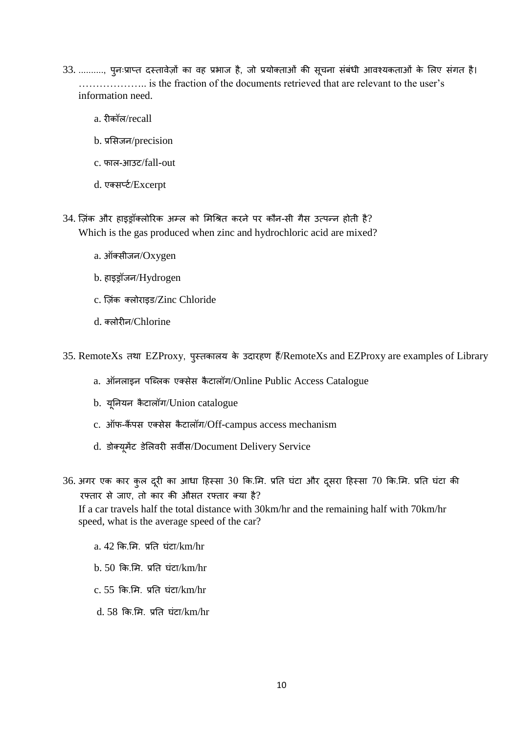- 33. .........., पुनःप्राप्त दस्तावेज़ों का वह प्रभाज है, जो प्रयोक्ताओं की सूचना संबंधी आवश्यकताओं के लिए संगत है। ……………….. is the fraction of the documents retrieved that are relevant to the user's information need.
	- a. रीकॉल/recall
	- b. प्रसिजन/precision
	- c. फाल-आउट/fall-out
	- d. एक्सर्प्ट/Excerpt
- 34. ज़िंक और हाइड्रॉक्लोररक अम्ल को लमचित करने पर कौन-सी गैस उत्पन्न होती है? Which is the gas produced when zinc and hydrochloric acid are mixed?
	- a. ऑक्सीजन/Oxygen
	- b. हाइड्रॉजन/Hydrogen
	- c. ज़िंक क्लोराइड/Zinc Chloride
	- d. क्लोरीन/Chlorine

35. RemoteXs तथा EZProxy, पुस्तकालय के उदारहण हैं/RemoteXs and EZProxy are examples of Library

- a. ऑनलाइन पब्लिक एक्सेस कैटालॉग/Online Public Access Catalogue
- b. यूननयन कै टालॉग/Union catalogue
- c. ऑफ-कैंपस एक्सेस कैटालॉग/Off-campus access mechanism
- d. डोक्यूमेंट डलेलवरी सवीस/Document Delivery Service
- 36. अगर एक कार कुल दूरी का आधा हिस्सा 30 कि.मि. प्रति घंटा और दूसरा हिस्सा 70 कि.मि. प्रति घंटा की रफ्तार से जाए, तो कार की औसत रफ्तार क्या है?

 If a car travels half the total distance with 30km/hr and the remaining half with 70km/hr speed, what is the average speed of the car?

a. 42 कि.मि. प्रति घंटा/km/hr

- $b. 50$  कि.मि. प्रति घंटा/km/hr
- $c. 55$  कि.मि. प्रति घंटा/km/hr
- d. 58 क्रक.लम. प्रनत घंटा/km/hr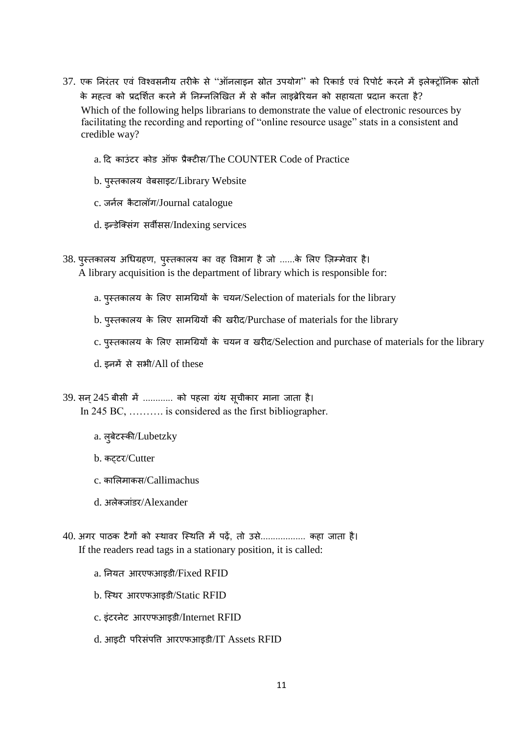- 37. एक निरंतर एवं विश्वसनीय तरीके से "ऑनलाइन स्रोत उपयोग" को रिकार्ड एवं रिपोर्ट करने में इलेक्ट्रॉनिक स्रोतों के महत्व को प्रदर्शित करने में निम्नलिखित में से कौन लाइब्रेरियन को सहायता प्रदान करता है? Which of the following helps librarians to demonstrate the value of electronic resources by facilitating the recording and reporting of "online resource usage" stats in a consistent and credible way?
	- a. दि काउंटर कोड ऑफ प्रैक्टीस/The COUNTER Code of Practice
	- b. पुस्तकालय वेबसाइट/Library Website
	- c. जर्नल कैटालॉग/Journal catalogue
	- d. इन्डेजक्संग सवीसस/Indexing services
- 38. पुस्तकालय अधिग्रहण, पुस्तकालय का वह विभाग है जो ......के लिए ज़िम्मेवार है। A library acquisition is the department of library which is responsible for:
	- a. पुस्तकालय के लिए सामग्रियों के चयन/Selection of materials for the library
	- b. पुस्तकालय के लिए सामग्रियों की खरीद/Purchase of materials for the library
	- c. पुस्तकालय के लिए सामग्रियों के चयन व खरीद/Selection and purchase of materials for the library
	- d. इनमें से सभी/All of these

39. सन् 245 बीसी में ............ को पहला ग्रंथ सूचीकार माना जाता है। In 245 BC, ………. is considered as the first bibliographer.

- a. लुबेटस्की/Lubetzky
- b. कट्टर/Cutter
- c. काललमाकस/Callimachus
- d. अलेक्जांडर/Alexander
- 40. अगर पाठक टैगों को स्थावर जस्थनत में प़िें, तो उसे.................. कहा जाता है। If the readers read tags in a stationary position, it is called:
	- a. ननयत आरएफआइडी/Fixed RFID
	- b. जस्थर आरएफआइडी/Static RFID
	- c. इंटरनेट आरएफआइडी/Internet RFID
	- d. आइटी पररसंपवि आरएफआइडी/IT Assets RFID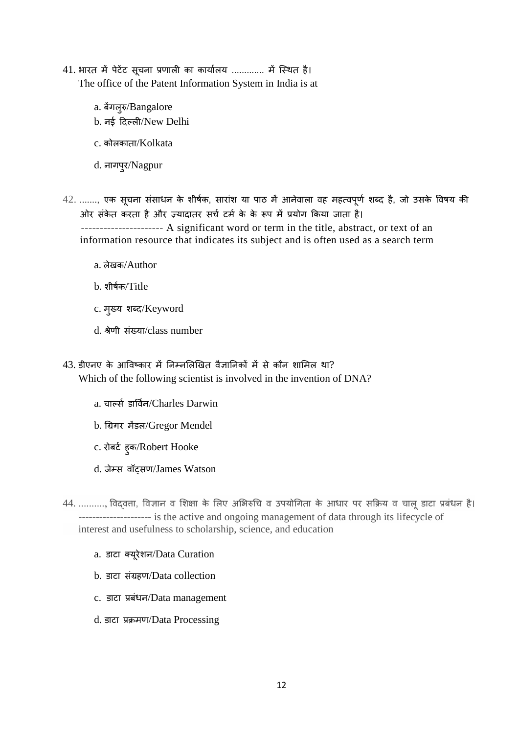- 41. भारत में पेटेंट सूचना प्रणाली का कार्यालय ............. में स्थित है। The office of the Patent Information System in India is at
	- a. बेंगलुरु/Bangalore
	- b. नई ट्रदल्ली/New Delhi
	- c. कोलकाता/Kolkata
	- d. नागपुर/Nagpur
- $42.$  ......., एक सूचना संसाधन के शीर्षक, सारांश या पाठ में आनेवाला वह महत्वपूर्ण शब्द है, जो उसके विषय की ओर संकेत करता है और ज़्यादातर सर्च टर्म के के रूप में प्रयोग किया जाता है।

 ---------------------- A significant word or term in the title, abstract, or text of an information resource that indicates its subject and is often used as a search term

- a. लेखक/Author
- b. शीषसक/Title
- c. मुख्य शब्लद/Keyword
- d. िेणी संख्या/class number
- $43.$  डीएनए के आविष्कार में निम्नलिखित वैज्ञानिकों में से कौन शामिल था? Which of the following scientist is involved in the invention of DNA?
	- a. चार्ल्स डार्विन/Charles Darwin
	- b. चग्रगर मेंडल/Gregor Mendel
	- c. रोबर्ट ह्क/Robert Hooke
	- d. जेम्स वॉट्सण/James Watson
- 44. .........., विदवत्ता, विज्ञान व शिक्षा के लिए अभिरुचि व उपयोगिता के आधार पर सक्रिय व चालू डाटा प्रबंधन है। --------------------- is the active and ongoing management of data through its lifecycle of interest and usefulness to scholarship, science, and education
	- a. डाटा क्यूरेशन/Data Curation
	- b. डाटा संग्रहण/Data collection
	- c. डाटा प्रबंधन/Data management
	- d. डाटा प्रिमण/Data Processing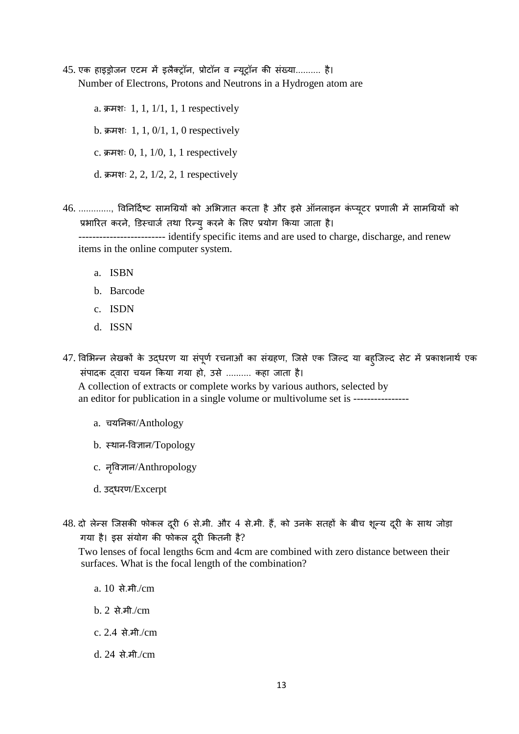45. एक हाइड्रोजन एटम में इलैक्रॉन, प्रोटॉन व न्यूरॉन की संख्या.......... है। Number of Electrons, Protons and Neutrons in a Hydrogen atom are

> a. क्रमशः 1, 1,  $1/1$ , 1, 1 respectively  $b.$  क्रमशः 1, 1, 0/1, 1, 0 respectively  $c.$  क्रमशः 0, 1, 1/0, 1, 1 respectively d. क्रमशः 2, 2,  $1/2$ , 2, 1 respectively

46. ............., ववननट्रदसष्ट सामचग्रयों को अलभज्ञात करता है और इसे ऑनलाइन कंप्यूटर प्रणाली में सामचग्रयों को प्रभारित करने, डिस्चार्ज तथा रिन्यु करने के लिए प्रयोग किया जाता है।

 ------------------------- identify specific items and are used to charge, discharge, and renew items in the online computer system.

- a. ISBN
- b. Barcode
- c. ISDN
- d. ISSN
- 47. विभिन्न लेखकों के उद्धरण या संपूर्ण रचनाओं का संग्रहण, जिसे एक जिल्द या बहूजिल्द सेट में प्रकाशनार्थ एक संपादक दवारा चयन किया गया हो, उसे .......... कहा जाता है। A collection of extracts or complete works by various authors, selected by

an editor for publication in a single volume or multivolume set is ----------------

- a. चयनिका/Anthology
- b. स्थान-ववज्ञान/Topology
- c. नवृवज्ञान/Anthropology
- d. उद्धरण/Excerpt
- 48. दो लेन्स जिसकी फोकल दूरी 6 से.मी. और 4 से.मी. हैं, को उनके सतहों के बीच शून्य दूरी के साथ जोड़ा गया है। इस संयोग की फोकल दरूी क्रकतनी है?

 Two lenses of focal lengths 6cm and 4cm are combined with zero distance between their surfaces. What is the focal length of the combination?

- a. 10 से.मी./cm
- b. 2 से.मी./cm
- c. 2.4 से.मी./cm
- d. 24 से.मी./cm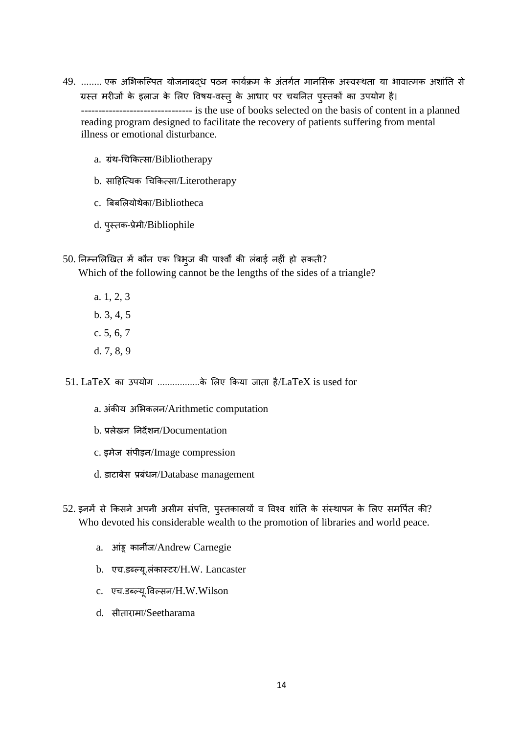- 49. ........ एक अलभकजल्पत योजनाबद्ध पठन कायसिम के अंतगसत मानलसक अस्वस्थता या भावात्मक अशांनत से ग्रस्त मरीजों के इलाज के लिए विषय-वस्तु के आधार पर चयनित पुस्तकों का उपयोग है। -------------------------------- is the use of books selected on the basis of content in a planned reading program designed to facilitate the recovery of patients suffering from mental illness or emotional disturbance.
	- a. ग्रंथ-चिक्रकत्सा/Bibliotherapy
	- b. साट्रहजत्यक चिक्रकत्सा/Literotherapy
	- c. बबबललयोथेका/Bibliotheca
	- d. पुस्तक-प्रेमी/Bibliophile
- $50.$  निम्नलिखित में कौन एक त्रिभुज की पार्श्वों की लंबाई नहीं हो सकती? Which of the following cannot be the lengths of the sides of a triangle?
	- a. 1, 2, 3 b. 3, 4, 5
	- c. 5, 6, 7 d. 7, 8, 9
- $51.$   $LaTeX$  का उपयोग .................के लिए किया जाता है/ $LaTeX$  is used for
	- a. अंकीय अभिकलन/Arithmetic computation
	- b. प्रलेखन ननदेशन/Documentation
	- c. इमेज संपीड़न/Image compression
	- d. डाटाबेस प्रबंधन/Database management
- 52. इनमें से किसने अपनी असीम संपत्ति, पुस्तकालयों व विश्व शांति के संस्थापन के लिए समर्पित की? Who devoted his considerable wealth to the promotion of libraries and world peace.
	- a. आंड्रू कानीज/Andrew Carnegie
	- b. एच.डब्ल्यू.लंकास्टर/H.W. Lancaster
	- c. एि.डब्लल्यू.ववल्सन/H.W.Wilson
	- d. सीतारामा/Seetharama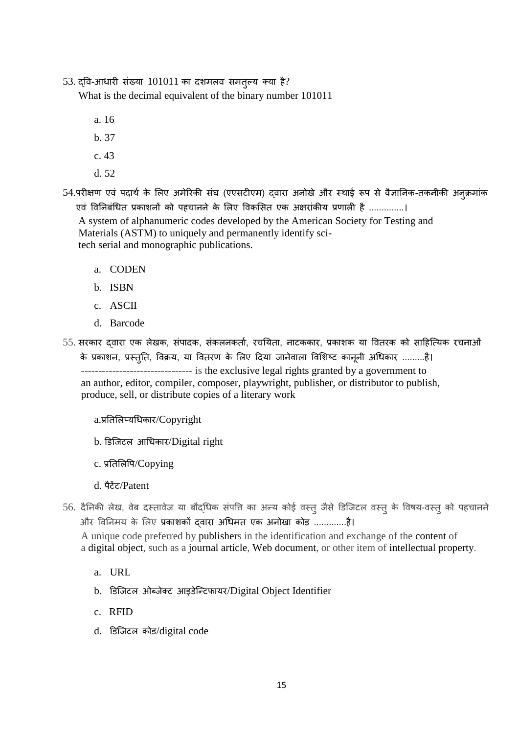53. द्वव-आधारी संख्या 101011 का दशमलव समतुल्य क्या है?

What is the decimal equivalent of the binary number 101011

- a. 16
- b. 37
- c. 43
- d. 52

54.परीक्षण एवं पदार्थ के लिए अमेरिकी संघ (एएसटीएम) दवारा अनोखे और स्थाई रूप से वैज्ञानिक-तकनीकी अनुक्रमांक एवं विनिबंधित प्रकाशनों को पहचानने के लिए विकसित एक अक्षरांकीय प्रणाली है ..............।

 A system of alphanumeric codes developed by the American Society for Testing and Materials (ASTM) to uniquely and permanently identify sci tech serial and monographic publications.

- a. CODEN
- b. ISBN
- c. ASCII
- d. Barcode
- 55. सरकार द्वारा एक लेखक, संपादक, संकलनकर्ता, रचयिता, नाटककार, प्रकाशक या वितरक को साहित्यिक रचनाओं के प्रकाशन, प्रस्तृति, विक्रय, या वितरण के लिए दिया जानेवाला विशिष्ट कानूनी अधिकार .........है। -------------------------------- is the exclusive legal rights granted by a government to an author, editor, compiler, composer, playwright, publisher, or distributor to publish, produce, sell, or distribute copies of a literary work
	- a.प्रनतललप्यचधकार/Copyright
	- b. डडजजटल आचधकार/Digital right
	- c. प्रतिलिपि/Copying
	- d. पैटेंट/Patent
- 56. दैनिकी लेख, वेब दस्तावेज़ या बौद्धिक संपत्ति का अन्य कोई वस्तु जैसे डिजिटल वस्तु के विषय-वस्तु को पहचानने और ववननमय के ललए प्रकाशकों द्वारा अचधमत एक अनोखा कोड़ .............है। A unique code preferred by publishers in the identification and exchange of the content of a digital object, such as a journal article, Web document, or other item of intellectual property.
	- a. URL
	- b. डिजिटल ओब्जेक्ट आइडेन्टिफायर/Digital Object Identifier
	- c. RFID
	- d. डडजजटल कोड/digital code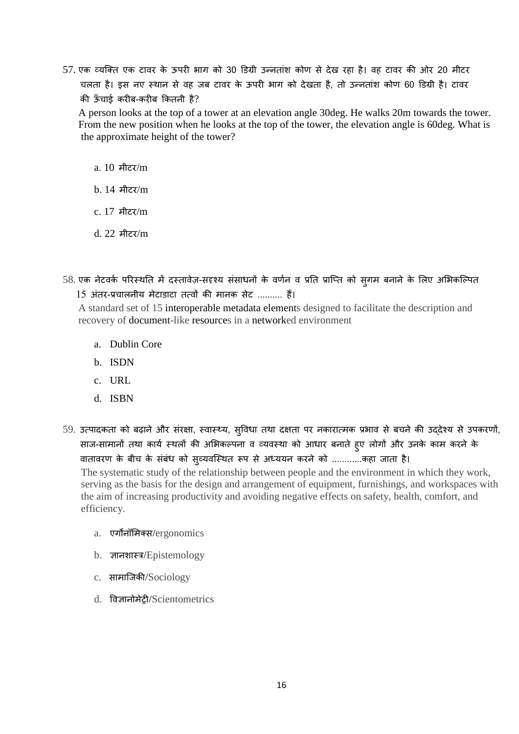57. एक व्यजक्त एक टावर के ऊपरी भाग को 30 डडग्री उन्नतांश कोण से देख रहा है। वह टावर की ओर 20 मीटर चलता है। इस नए स्थान से वह जब टावर के ऊपरी भाग को देखता है, तो उन्नतांश कोण 60 डिग्री है। टावर की ऊाँ िाई करीब-करीब क्रकतनी है?

 A person looks at the top of a tower at an elevation angle 30deg. He walks 20m towards the tower. From the new position when he looks at the top of the tower, the elevation angle is 60deg. What is the approximate height of the tower?

- a. 10 मीटर/m
- b. 14 मीटर/m
- c. 17 मीटर/m
- d. 22 मीटर/m
- 58. एक नेटवर्क परिस्थति में दस्तावेज़-सदृश्य संसाधनों के वर्णन व प्रति प्राप्ति को स्गम बनाने के लिए अभिकल्पित 15 अंतर-प्रिालनीय मेटाडाटा तत्वों की मानक सेट .......... हैं।

 A standard set of 15 interoperable metadata elements designed to facilitate the description and recovery of document-like resources in a networked environment

- a. Dublin Core
- b. ISDN
- c. URL
- d. ISBN
- 59. उत्पादकता को ब़िानेऔर संरक्षा, स्वास्थ्य, सुववधा तथा दक्षता पर नकारात्मक प्रभाव से बिने की उद्देश्य से उपकरणों, साज-सामानों तथा कार्य स्थलों की अभिकल्पना व व्यवस्था को आधार बनाते हुए लोगों और उनके काम करने के वातावरण के बीच के संबंध को सृव्यवस्थित रूप से अध्ययन करने को ............कहा जाता है।

 The systematic study of the relationship between people and the environment in which they work, serving as the basis for the design and arrangement of equipment, furnishings, and workspaces with the aim of increasing productivity and avoiding negative effects on safety, health, comfort, and efficiency.

- a. एगोनॉलमक्स/ergonomics
- b. ज्ञानशास्त्र/Epistemology
- c. सामाजजकी/Sociology
- d. ववज्ञानोमेरी/Scientometrics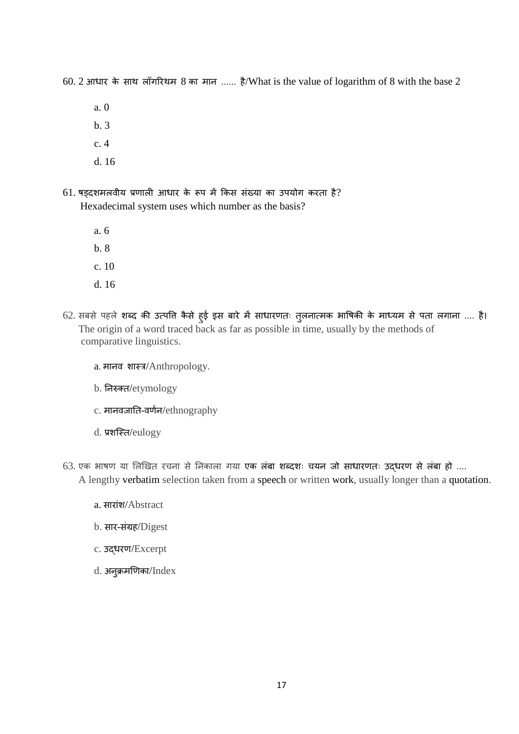60. 2 आधार के साथ लॉगररथम 8 का मान ...... है/What is the value of logarithm of 8 with the base 2

a. 0

- b. 3
- c. 4
- d. 16
- $61.$  षड़दशमलवीय प्रणाली आधार के रूप में किस संख्या का उपयोग करता है? Hexadecimal system uses which number as the basis?
	- a. 6
	- b. 8
	- c. 10
	- d. 16
- 62. सबसे पहले शब्लद की उत्पवि कैसे हुई इस बारे में साधारणतः तुलनात्मक भावषकी के माध्यम से पता लगाना .... है। The origin of a word traced back as far as possible in time, usually by the methods of comparative linguistics.
	- a. मानव शास्त्र/Anthropology.
	- b. ननरुक्त/etymology
	- c. मानवजाति-वर्णन/ethnography
	- d. प्रशजस्त/eulogy
- $63.$  एक भाषण या लिखित रचना से निकाला गया एक लंबा शब्दशः चयन जो साधारणतः उद्धरण से लंबा हो .... A lengthy verbatim selection taken from a speech or written work, usually longer than a quotation.
	- a. सारांश/Abstract
	- b. सार-संग्रह/Digest
	- c. उद्धरण/Excerpt
	- $d.$  अनुक्रमणिका/Index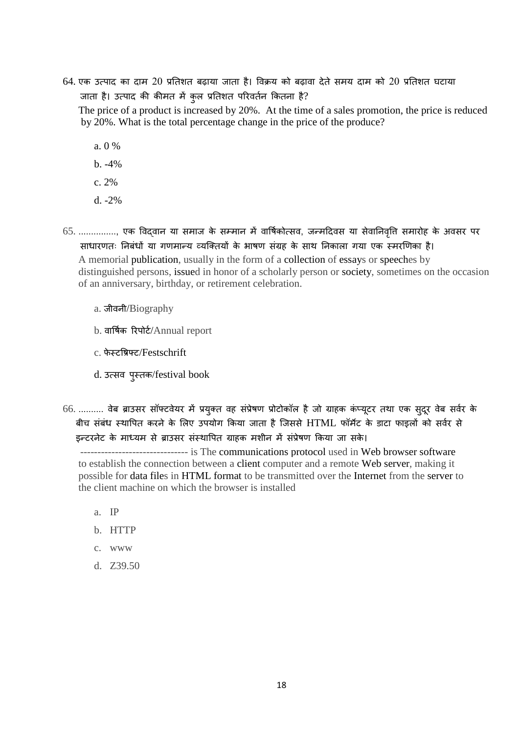64. एक उत्पाद का दाम 20 प्रनतशत ब़िाया जाता है। वविय को ब़िावा देते समय दाम को 20 प्रनतशत घटाया जाता है। उत्पाद की कीमत में कुल प्रतिशत परिवर्तन कितना है?

 The price of a product is increased by 20%. At the time of a sales promotion, the price is reduced by 20%. What is the total percentage change in the price of the produce?

- a. 0 %
- b. -4%
- c. 2%
- d. -2%
- 65. .............., एक विद्वान या समाज के सम्मान में वार्षिकोत्सव, जन्मदिवस या सेवानिवृति समारोह के अवसर पर साधारणतः ननबंधों या गणमान्य व्यजक्तयों के भाषण संग्रह के साथ ननकाला गया एक स्मरखणका है। A memorial publication, usually in the form of a collection of essays or speeches by distinguished persons, issued in honor of a scholarly person or society, sometimes on the occasion of an anniversary, birthday, or retirement celebration.
	- a. जीवनी/Biography
	- b. वार्षिक रिपोर्ट/Annual report
	- c. फे स्टविफ्ट/Festschrift
	- d. उत्सव पुस्तक/festival book
- 66. .......... वेब ब्राउसर सॉफ्टवेयर में प्रयुक्त वह संप्रेषण प्रोटोकॉल है जो ग्राहक कंप्यूटर तथा एक सुदूर वेब सर्वर के बीच संबंध स्थापित करने के लिए उपयोग किया जाता है जिससे HTML फॉर्मेट के डाटा फाइलों को सर्वर से इन्टरनेट के माध्यम से ब्राउसर संस्थापित ग्राहक मशीन में संप्रेषण किया जा सके।

 ------------------------------- is The communications protocol used in Web browser software to establish the connection between a client computer and a remote Web server, making it possible for data files in HTML format to be transmitted over the Internet from the server to the client machine on which the browser is installed

- a. IP
- b. HTTP
- c. www
- d. Z39.50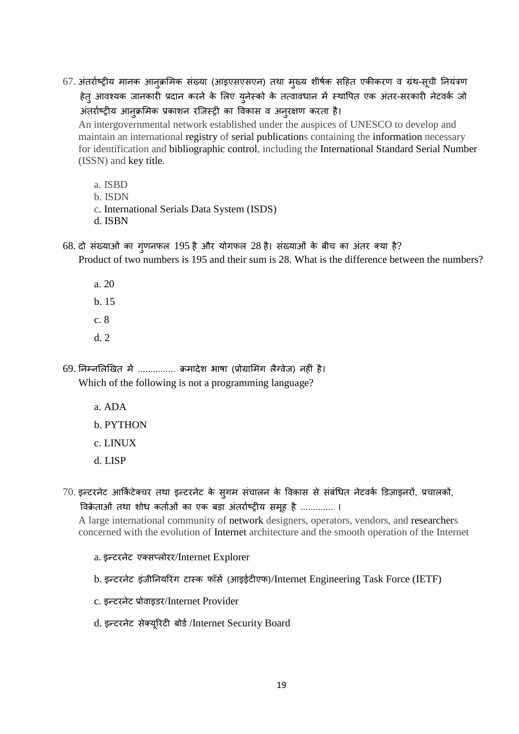67. अंतर्राष्ट्रीय मानक आनुक्रमिक संख्या (आइएसएसएन) तथा मुख्य शीर्षक सहित एकीकरण व ग्रंथ-सूची नियंत्रण हेतु आवश्यक जानकारी प्रदान करने के लिए युनेस्को के तत्वावधान में स्थापित एक अंतर-सरकारी नेटवर्क जो अंतर्राष्ट्रीय आनूक्रमिक प्रकाशन रजिस्ट्री का विकास व अनुरक्षण करता है।

 An intergovernmental network established under the auspices of UNESCO to develop and maintain an international registry of serial publications containing the information necessary for identification and bibliographic control, including the International Standard Serial Number (ISSN) and key title.

a. ISBD

b. ISDN

c. International Serials Data System (ISDS)

d. ISBN

 $68.$  दो संख्याओं का गुणनफल 195 है और योगफल 28 है। संख्याओं के बीच का अंतर क्या है?

Product of two numbers is 195 and their sum is 28. What is the difference between the numbers?

a. 20 b. 15

- c. 8
- d. 2

69. निम्नलिखित में ............... क्रमादेश भाषा (प्रोग्रामिंग लैग्वेज) नहीं है। Which of the following is not a programming language?

a. ADA

## b. PYTHON

c. LINUX

d. LISP

 $70.$  इन्टरनेट आर्किटेक्चर तथा इन्टरनेट के सुगम संचालन के विकास से संबंधित नेटवर्क डिज़ाइनरों, प्रचालकों, विक्रेताओं तथा शोध कर्ताओं का एक बड़ा अंतर्राष्ट्रीय समूह है ............. ।

 A large international community of network designers, operators, vendors, and researchers concerned with the evolution of Internet architecture and the smooth operation of the Internet

a. इन्टरनेट एक्सप्लोरर/Internet Explorer

- b. इन्टरनेट इंजीनियरिंग टास्क फॉर्स (आइईटीएफ)/Internet Engineering Task Force (IETF)
- c. इन्टरनेट प्रोवाइडर/Internet Provider
- d. इन्टरनेट सेक्यूरिटी बोर्ड/Internet Security Board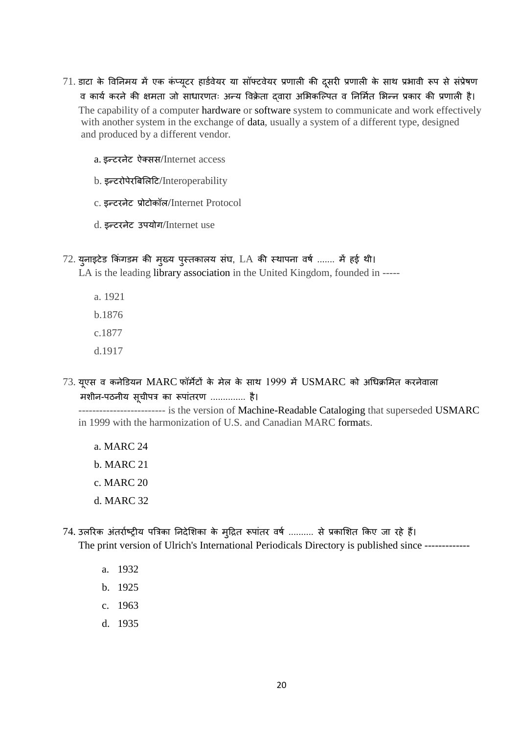- $71.$  डाटा के विनिमय में एक कंप्यूटर हार्डवेयर या सॉफ्टवेयर प्रणाली की दूसरी प्रणाली के साथ प्रभावी रूप से संप्रेषण व कार्य करने की क्षमता जो साधारणतः अन्य विक्रेता द्वारा अभिकल्पित व निर्मित भिन्न प्रकार की प्रणाली है। The capability of a computer hardware or software system to communicate and work effectively with another system in the exchange of data, usually a system of a different type, designed and produced by a different vendor.
	- a. इन्टरनेट कक्सस/Internet access
	- b. इन्टरोपेरबिलिटि/Interoperability
	- c. इन्टरनेट प्रोटोकॉल/Internet Protocol
	- d. इन्टरनेट उपयोग/Internet use
- $72.$  युनाइटेड किंगडम की मुख्य पुस्तकालय संघ, LA की स्थापना वर्ष ....... में हई थी।

LA is the leading library association in the United Kingdom, founded in -----

- a. 1921 b.1876
- c.1877
- d.1917
- $73.$  यूएस व कनेडियन  $MARC$  फॉर्मेटों के मेल के साथ  $1999$  में  $USMARC$  को अधिक्रमित करनेवाला मशीन-पठनीय सूचीपत्र का रूपांतरण .............. है।

--------------------------- is the version of Machine-Readable Cataloging that superseded USMARC in 1999 with the harmonization of U.S. and Canadian MARC formats.

- a. MARC 24
- b. MARC 21
- c. MARC 20
- d. MARC 32
- 74. उलरिक अंतर्राष्ट्रीय पत्रिका निदेशिका के मुद्रित रूपांतर वर्ष .......... से प्रकाशित किए जा रहे हैं। The print version of Ulrich's International Periodicals Directory is published since ------------
	- a. 1932
	- b. 1925
	- c. 1963
	- d. 1935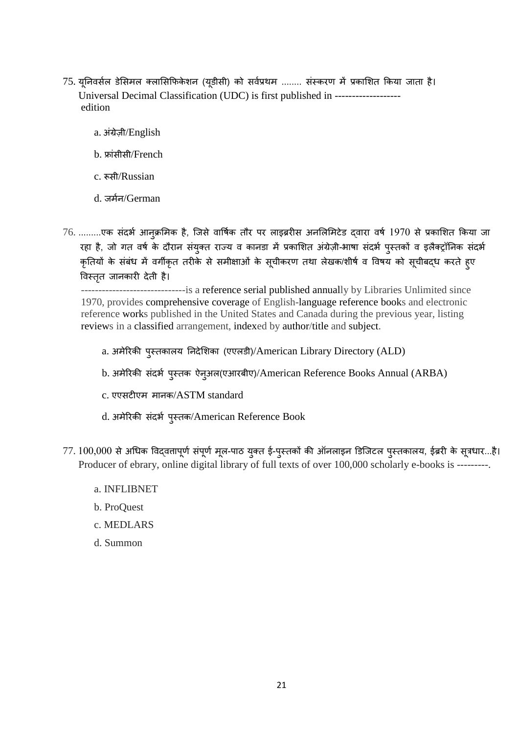- 75. यूनिवर्सल डेसिमल क्लासिफिकेशन (यूडीसी) को सर्वप्रथम ........ संस्करण में प्रकाशित किया जाता है। Universal Decimal Classification (UDC) is first published in ------------------ edition
	- a. अंग्रे़िी/English
	- b. फ्ांसीसी/French
	- c. रूसी/Russian
	- d. जर्मन/German
- 76. .........एक संदर्भ आन्*क्रमिक है, जिसे वार्षिक तौर पर लाइब्ररीस अनलिमि*टेड द्वारा वर्ष 1970 से प्रकाशित किया जा रहा है, जो गत वर्ष के दौरान संयुक्त राज्य व कानडा में प्रकाशित अंग्रेज़ी-भाषा संदर्भ पुस्तकों व इलैक्ट्रॉनिक संदर्भ कृतियों के संबंध में वर्गीकृत तरीके से समीक्षाओं के सूचीकरण तथा लेखक/शीर्ष व विषय को सूचीबद्ध करते हुए ववस्ततृ जानकारी देती है।

 ------------------------------is a reference serial published annually by Libraries Unlimited since 1970, provides comprehensive coverage of English-language reference books and electronic reference works published in the United States and Canada during the previous year, listing reviews in a classified arrangement, indexed by author/title and subject.

- a. अमेररकी पुस्तकालय ननदेलशका (एएलडी)/American Library Directory (ALD)
- b. अमेरिकी संदर्भ पुस्तक ऐनुअल(एआरबीए)/American Reference Books Annual (ARBA)
- c. एएसटीएम मानक/ASTM standard
- d. अमेरिकी संदर्भ पुस्तक/American Reference Book
- $77.100,000$  से अधिक विद्वतापूर्ण संपूर्ण मूल-पाठ युक्त ई-पुस्तकों की ऑनलाइन डिजिटल पुस्तकालय, ईब्ररी के सूत्रधार...है। Producer of ebrary, online digital library of full texts of over 100,000 scholarly e-books is ---------.
	- a. INFLIBNET
	- b. ProQuest
	- c. MEDLARS
	- d. Summon